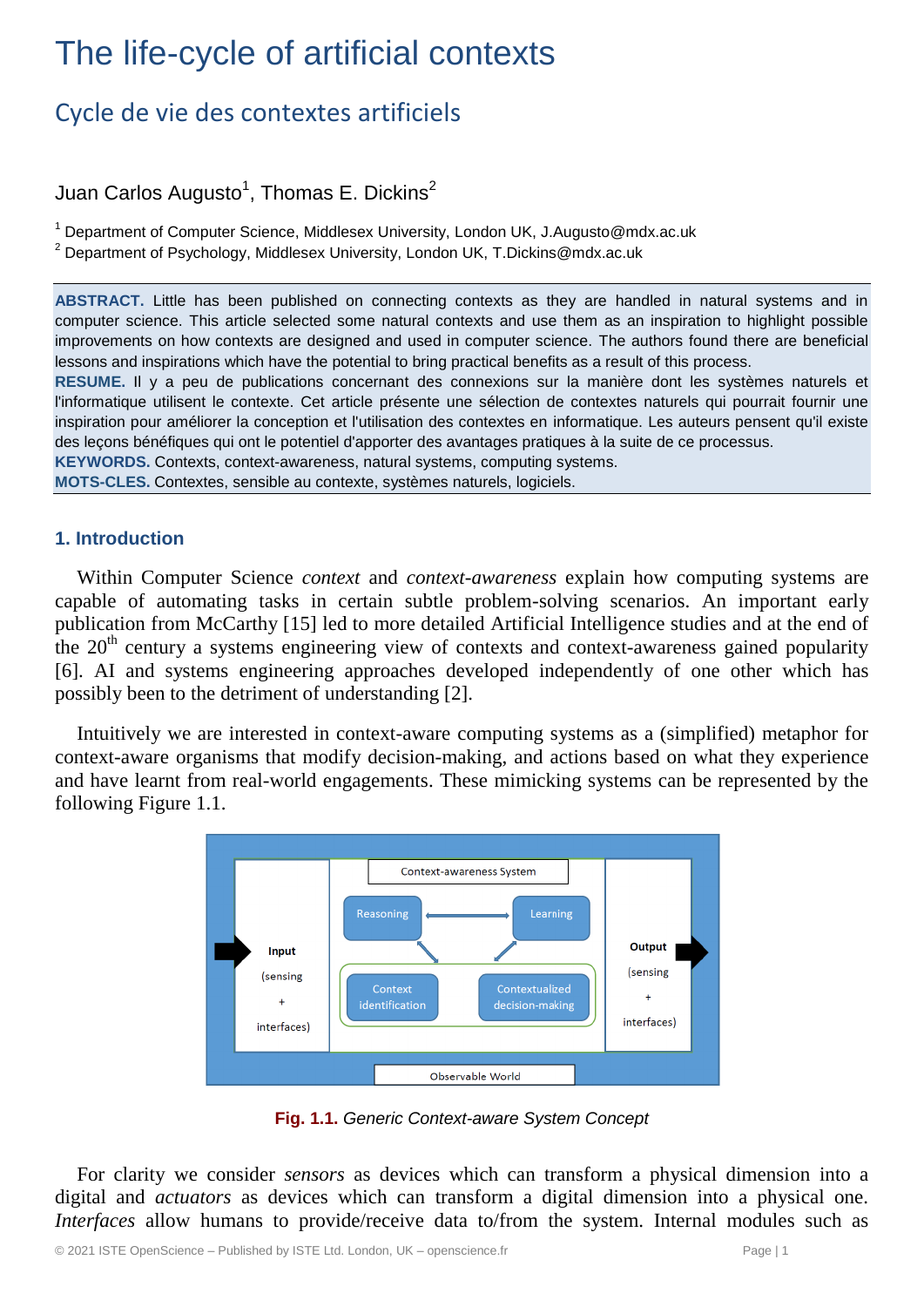# The life-cycle of artificial contexts

## Cycle de vie des contextes artificiels

### Juan Carlos Augusto $^{\mathsf{1}},$  Thomas E. Dickins $^{\mathsf{2}}$

 $1$  Department of Computer Science, Middlesex University, London UK, J.Augusto@mdx.ac.uk

<sup>2</sup> Department of Psychology, Middlesex University, London UK, T.Dickins@mdx.ac.uk

**ABSTRACT.** Little has been published on connecting contexts as they are handled in natural systems and in computer science. This article selected some natural contexts and use them as an inspiration to highlight possible improvements on how contexts are designed and used in computer science. The authors found there are beneficial lessons and inspirations which have the potential to bring practical benefits as a result of this process.

**RESUME.** Il y a peu de publications concernant des connexions sur la manière dont les systèmes naturels et l'informatique utilisent le contexte. Cet article présente une sélection de contextes naturels qui pourrait fournir une inspiration pour améliorer la conception et l'utilisation des contextes en informatique. Les auteurs pensent qu'il existe des leçons bénéfiques qui ont le potentiel d'apporter des avantages pratiques à la suite de ce processus.

**KEYWORDS.** Contexts, context-awareness, natural systems, computing systems.

**MOTS-CLES.** Contextes, sensible au contexte, systèmes naturels, logiciels.

#### **1. Introduction**

Within Computer Science *context* and *context-awareness* explain how computing systems are capable of automating tasks in certain subtle problem-solving scenarios. An important early publication from McCarthy [15] led to more detailed Artificial Intelligence studies and at the end of the  $20<sup>th</sup>$  century a systems engineering view of contexts and context-awareness gained popularity [6]. AI and systems engineering approaches developed independently of one other which has possibly been to the detriment of understanding [2].

Intuitively we are interested in context-aware computing systems as a (simplified) metaphor for context-aware organisms that modify decision-making, and actions based on what they experience and have learnt from real-world engagements. These mimicking systems can be represented by the following Figure 1.1.



**Fig. 1.1.** *Generic Context-aware System Concept*

For clarity we consider *sensors* as devices which can transform a physical dimension into a digital and *actuators* as devices which can transform a digital dimension into a physical one. *Interfaces* allow humans to provide/receive data to/from the system. Internal modules such as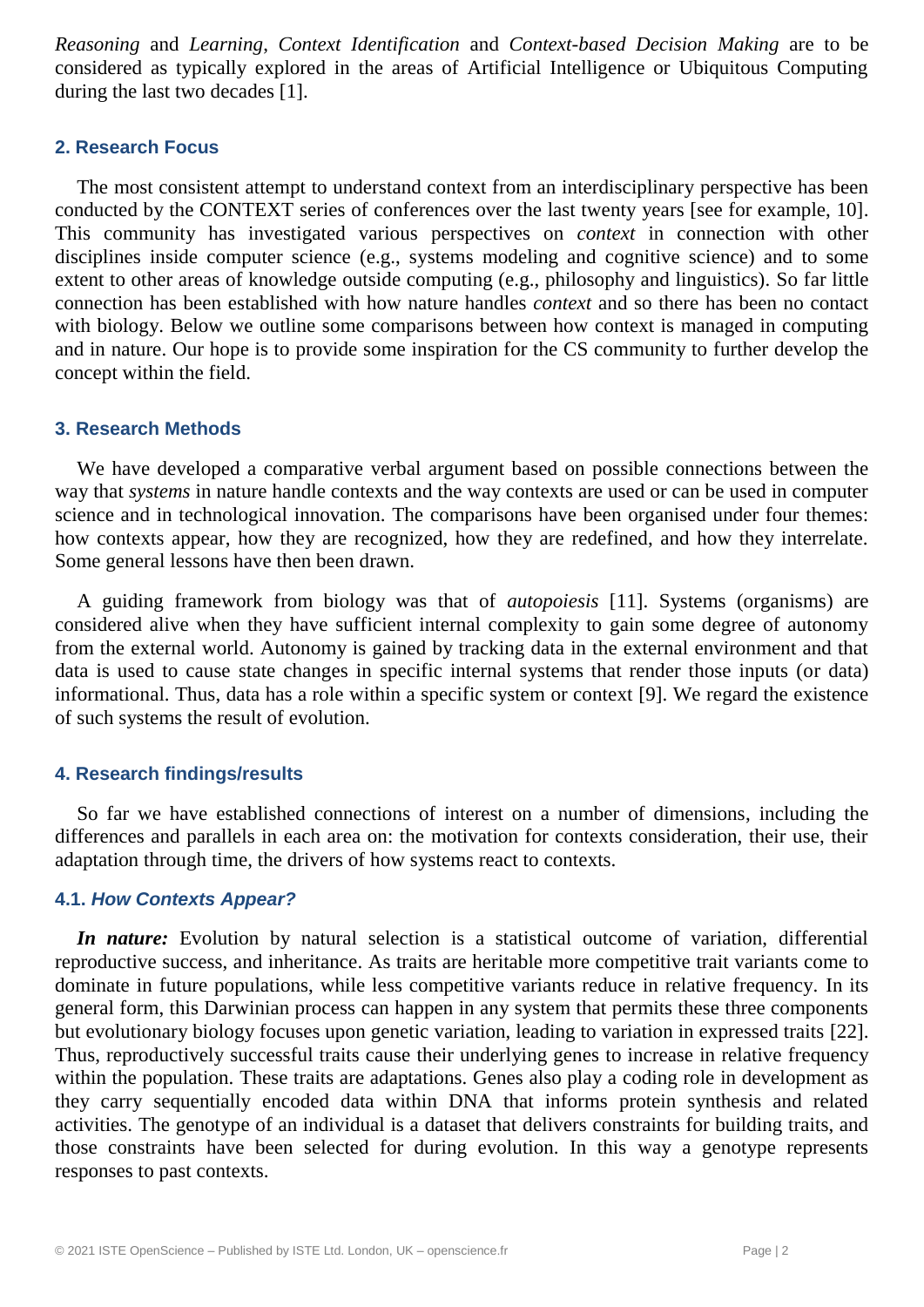*Reasoning* and *Learning*, *Context Identification* and *Context-based Decision Making* are to be considered as typically explored in the areas of Artificial Intelligence or Ubiquitous Computing during the last two decades [1].

#### **2. Research Focus**

The most consistent attempt to understand context from an interdisciplinary perspective has been conducted by the CONTEXT series of conferences over the last twenty years [see for example, 10]. This community has investigated various perspectives on *context* in connection with other disciplines inside computer science (e.g., systems modeling and cognitive science) and to some extent to other areas of knowledge outside computing (e.g., philosophy and linguistics). So far little connection has been established with how nature handles *context* and so there has been no contact with biology. Below we outline some comparisons between how context is managed in computing and in nature. Our hope is to provide some inspiration for the CS community to further develop the concept within the field.

#### **3. Research Methods**

We have developed a comparative verbal argument based on possible connections between the way that *systems* in nature handle contexts and the way contexts are used or can be used in computer science and in technological innovation. The comparisons have been organised under four themes: how contexts appear, how they are recognized, how they are redefined, and how they interrelate. Some general lessons have then been drawn.

A guiding framework from biology was that of *autopoiesis* [11]. Systems (organisms) are considered alive when they have sufficient internal complexity to gain some degree of autonomy from the external world. Autonomy is gained by tracking data in the external environment and that data is used to cause state changes in specific internal systems that render those inputs (or data) informational. Thus, data has a role within a specific system or context [9]. We regard the existence of such systems the result of evolution.

#### **4. Research findings/results**

So far we have established connections of interest on a number of dimensions, including the differences and parallels in each area on: the motivation for contexts consideration, their use, their adaptation through time, the drivers of how systems react to contexts.

#### **4.1.** *How Contexts Appear?*

*In nature:* Evolution by natural selection is a statistical outcome of variation, differential reproductive success, and inheritance. As traits are heritable more competitive trait variants come to dominate in future populations, while less competitive variants reduce in relative frequency. In its general form, this Darwinian process can happen in any system that permits these three components but evolutionary biology focuses upon genetic variation, leading to variation in expressed traits [22]. Thus, reproductively successful traits cause their underlying genes to increase in relative frequency within the population. These traits are adaptations. Genes also play a coding role in development as they carry sequentially encoded data within DNA that informs protein synthesis and related activities. The genotype of an individual is a dataset that delivers constraints for building traits, and those constraints have been selected for during evolution. In this way a genotype represents responses to past contexts.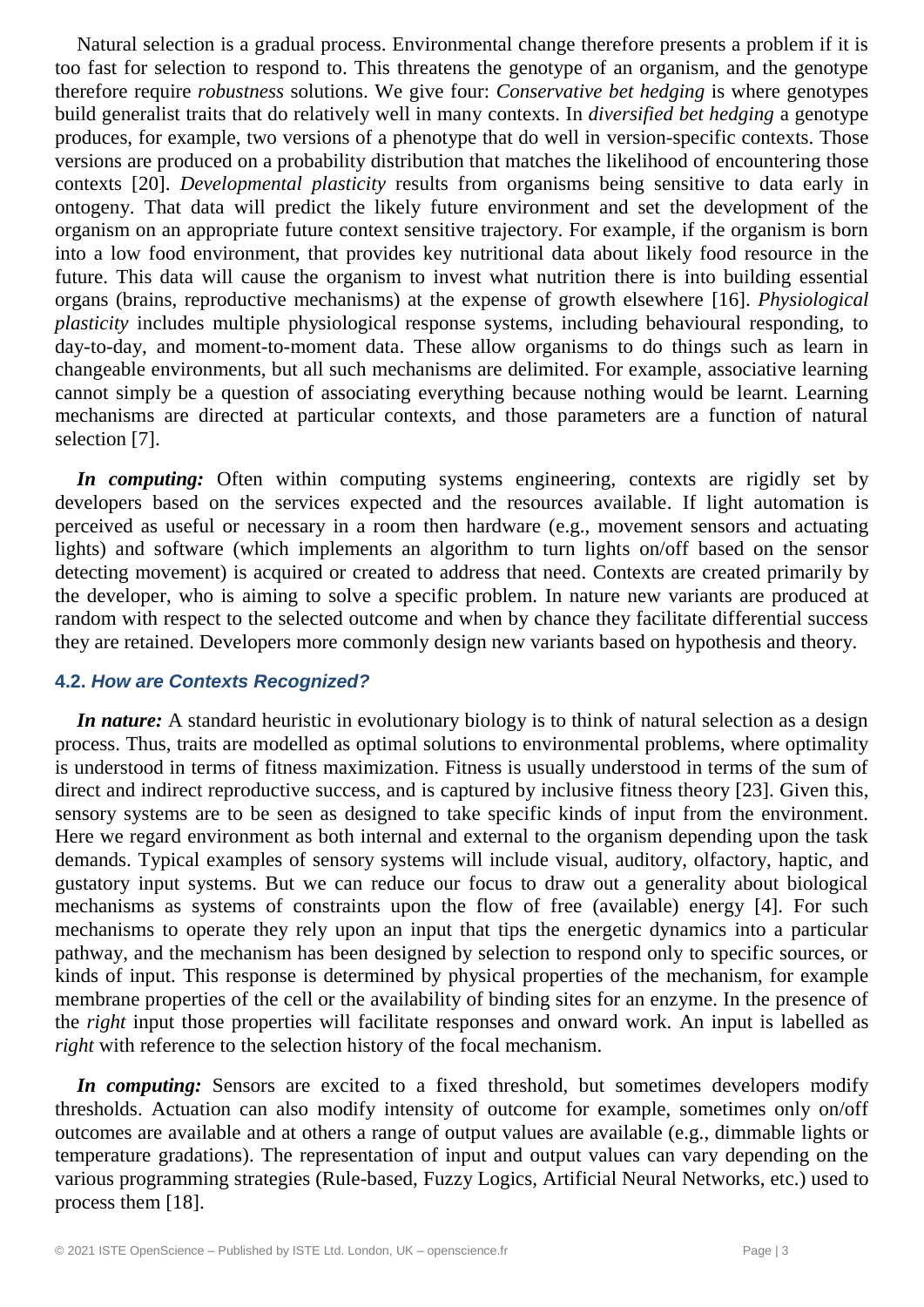Natural selection is a gradual process. Environmental change therefore presents a problem if it is too fast for selection to respond to. This threatens the genotype of an organism, and the genotype therefore require *robustness* solutions. We give four: *Conservative bet hedging* is where genotypes build generalist traits that do relatively well in many contexts. In *diversified bet hedging* a genotype produces, for example, two versions of a phenotype that do well in version-specific contexts. Those versions are produced on a probability distribution that matches the likelihood of encountering those contexts [20]. *Developmental plasticity* results from organisms being sensitive to data early in ontogeny. That data will predict the likely future environment and set the development of the organism on an appropriate future context sensitive trajectory. For example, if the organism is born into a low food environment, that provides key nutritional data about likely food resource in the future. This data will cause the organism to invest what nutrition there is into building essential organs (brains, reproductive mechanisms) at the expense of growth elsewhere [16]. *Physiological plasticity* includes multiple physiological response systems, including behavioural responding, to day-to-day, and moment-to-moment data. These allow organisms to do things such as learn in changeable environments, but all such mechanisms are delimited. For example, associative learning cannot simply be a question of associating everything because nothing would be learnt. Learning mechanisms are directed at particular contexts, and those parameters are a function of natural selection [7].

*In computing:* Often within computing systems engineering, contexts are rigidly set by developers based on the services expected and the resources available. If light automation is perceived as useful or necessary in a room then hardware (e.g., movement sensors and actuating lights) and software (which implements an algorithm to turn lights on/off based on the sensor detecting movement) is acquired or created to address that need. Contexts are created primarily by the developer, who is aiming to solve a specific problem. In nature new variants are produced at random with respect to the selected outcome and when by chance they facilitate differential success they are retained. Developers more commonly design new variants based on hypothesis and theory.

#### **4.2.** *How are Contexts Recognized?*

*In nature:* A standard heuristic in evolutionary biology is to think of natural selection as a design process. Thus, traits are modelled as optimal solutions to environmental problems, where optimality is understood in terms of fitness maximization. Fitness is usually understood in terms of the sum of direct and indirect reproductive success, and is captured by inclusive fitness theory [23]. Given this, sensory systems are to be seen as designed to take specific kinds of input from the environment. Here we regard environment as both internal and external to the organism depending upon the task demands. Typical examples of sensory systems will include visual, auditory, olfactory, haptic, and gustatory input systems. But we can reduce our focus to draw out a generality about biological mechanisms as systems of constraints upon the flow of free (available) energy [4]. For such mechanisms to operate they rely upon an input that tips the energetic dynamics into a particular pathway, and the mechanism has been designed by selection to respond only to specific sources, or kinds of input. This response is determined by physical properties of the mechanism, for example membrane properties of the cell or the availability of binding sites for an enzyme. In the presence of the *right* input those properties will facilitate responses and onward work. An input is labelled as *right* with reference to the selection history of the focal mechanism.

*In computing:* Sensors are excited to a fixed threshold, but sometimes developers modify thresholds. Actuation can also modify intensity of outcome for example, sometimes only on/off outcomes are available and at others a range of output values are available (e.g., dimmable lights or temperature gradations). The representation of input and output values can vary depending on the various programming strategies (Rule-based, Fuzzy Logics, Artificial Neural Networks, etc.) used to process them [18].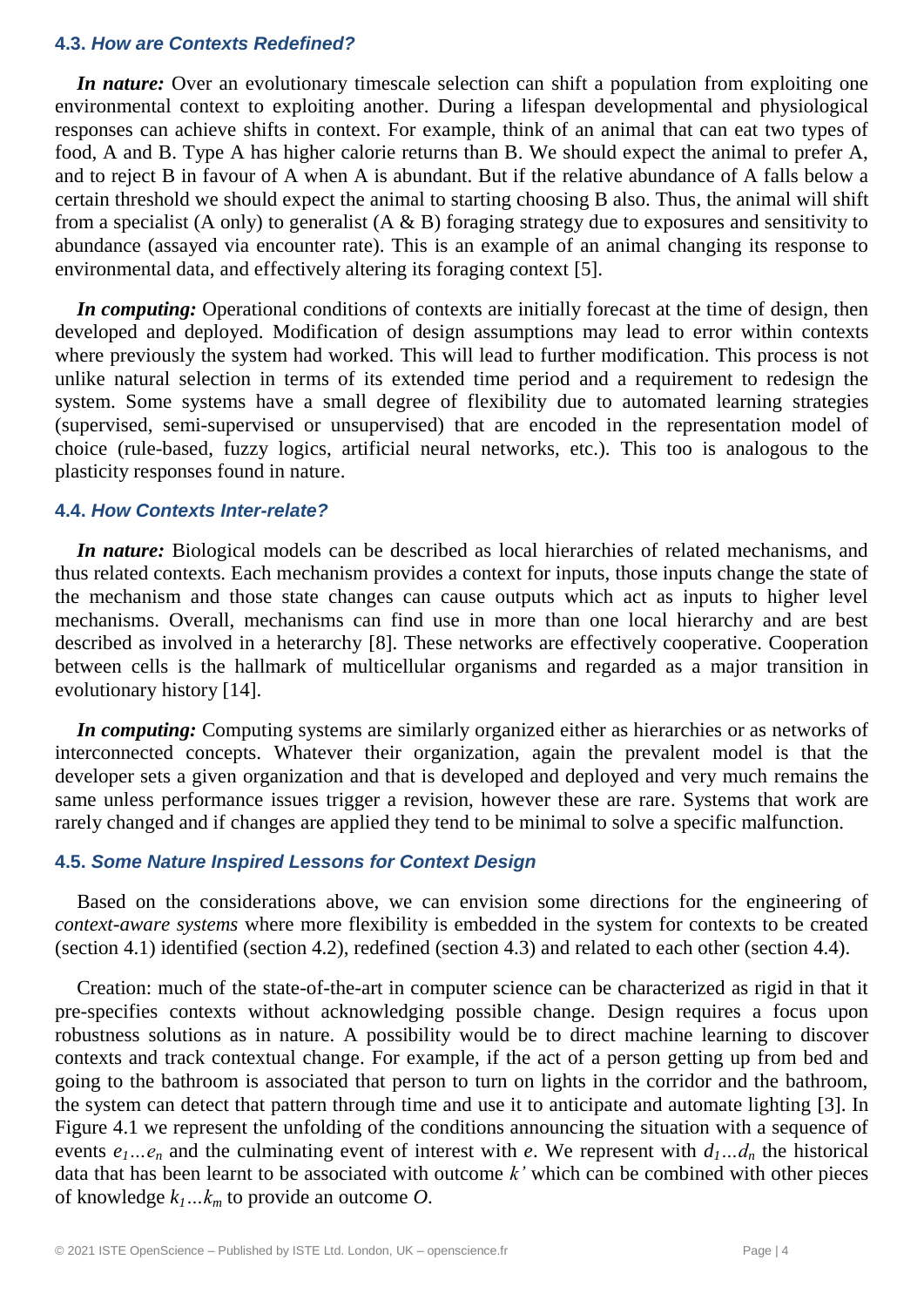#### **4.3.** *How are Contexts Redefined?*

*In nature:* Over an evolutionary timescale selection can shift a population from exploiting one environmental context to exploiting another. During a lifespan developmental and physiological responses can achieve shifts in context. For example, think of an animal that can eat two types of food, A and B. Type A has higher calorie returns than B. We should expect the animal to prefer A, and to reject B in favour of A when A is abundant. But if the relative abundance of A falls below a certain threshold we should expect the animal to starting choosing B also. Thus, the animal will shift from a specialist (A only) to generalist (A  $\&$  B) foraging strategy due to exposures and sensitivity to abundance (assayed via encounter rate). This is an example of an animal changing its response to environmental data, and effectively altering its foraging context [5].

*In computing:* Operational conditions of contexts are initially forecast at the time of design, then developed and deployed. Modification of design assumptions may lead to error within contexts where previously the system had worked. This will lead to further modification. This process is not unlike natural selection in terms of its extended time period and a requirement to redesign the system. Some systems have a small degree of flexibility due to automated learning strategies (supervised, semi-supervised or unsupervised) that are encoded in the representation model of choice (rule-based, fuzzy logics, artificial neural networks, etc.). This too is analogous to the plasticity responses found in nature.

#### **4.4.** *How Contexts Inter-relate?*

*In nature:* Biological models can be described as local hierarchies of related mechanisms, and thus related contexts. Each mechanism provides a context for inputs, those inputs change the state of the mechanism and those state changes can cause outputs which act as inputs to higher level mechanisms. Overall, mechanisms can find use in more than one local hierarchy and are best described as involved in a heterarchy [8]. These networks are effectively cooperative. Cooperation between cells is the hallmark of multicellular organisms and regarded as a major transition in evolutionary history [14].

*In computing:* Computing systems are similarly organized either as hierarchies or as networks of interconnected concepts. Whatever their organization, again the prevalent model is that the developer sets a given organization and that is developed and deployed and very much remains the same unless performance issues trigger a revision, however these are rare. Systems that work are rarely changed and if changes are applied they tend to be minimal to solve a specific malfunction.

#### **4.5.** *Some Nature Inspired Lessons for Context Design*

Based on the considerations above, we can envision some directions for the engineering of *context-aware systems* where more flexibility is embedded in the system for contexts to be created (section 4.1) identified (section 4.2), redefined (section 4.3) and related to each other (section 4.4).

Creation: much of the state-of-the-art in computer science can be characterized as rigid in that it pre-specifies contexts without acknowledging possible change. Design requires a focus upon robustness solutions as in nature. A possibility would be to direct machine learning to discover contexts and track contextual change. For example, if the act of a person getting up from bed and going to the bathroom is associated that person to turn on lights in the corridor and the bathroom, the system can detect that pattern through time and use it to anticipate and automate lighting [3]. In Figure 4.1 we represent the unfolding of the conditions announcing the situation with a sequence of events  $e_1...e_n$  and the culminating event of interest with *e*. We represent with  $d_1...d_n$  the historical data that has been learnt to be associated with outcome *k'* which can be combined with other pieces of knowledge *k1…k<sup>m</sup>* to provide an outcome *O*.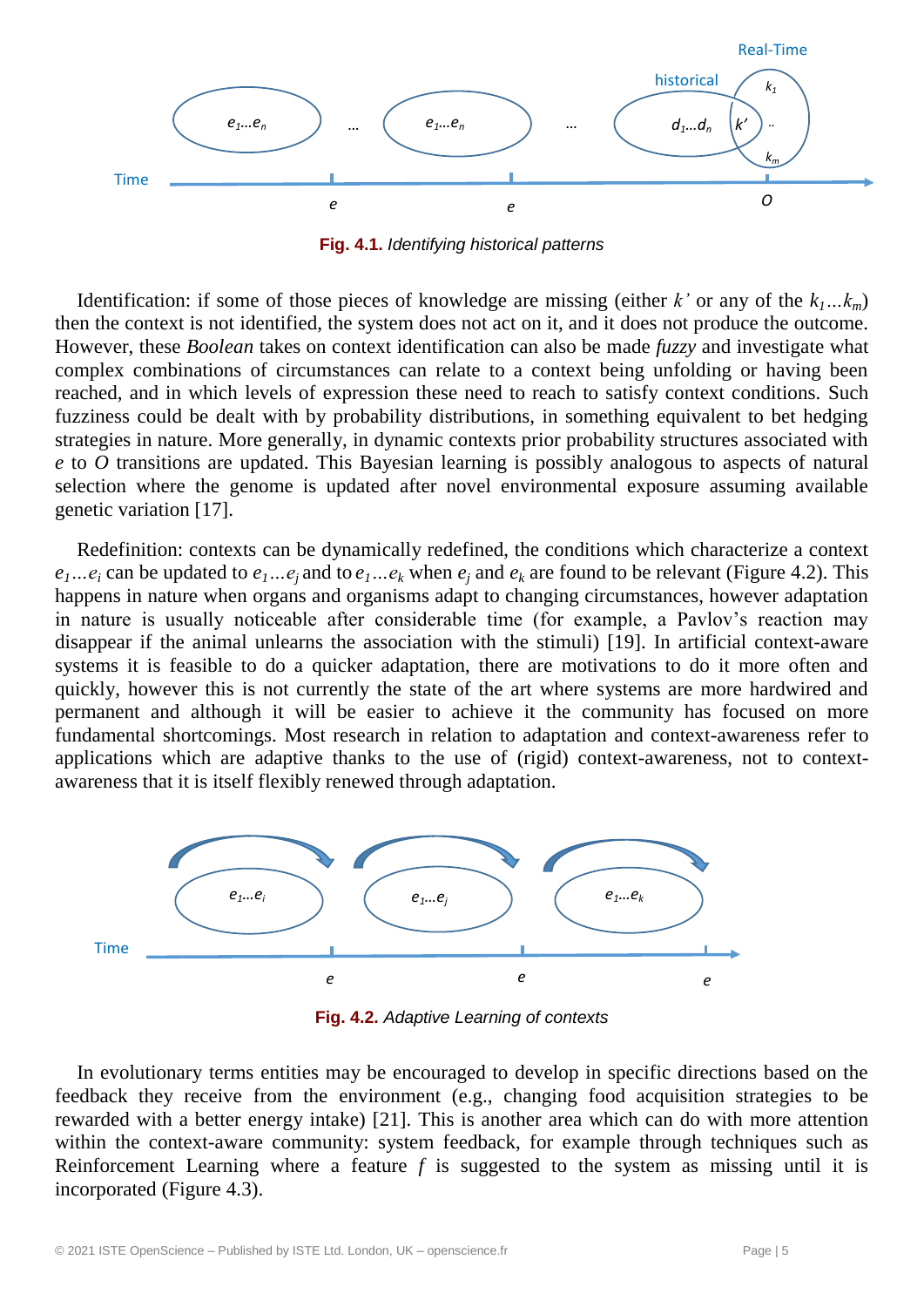

**Fig. 4.1.** *Identifying historical patterns*

Identification: if some of those pieces of knowledge are missing (either *k'* or any of the  $k_1...k_m$ ) then the context is not identified, the system does not act on it, and it does not produce the outcome. However, these *Boolean* takes on context identification can also be made *fuzzy* and investigate what complex combinations of circumstances can relate to a context being unfolding or having been reached, and in which levels of expression these need to reach to satisfy context conditions. Such fuzziness could be dealt with by probability distributions, in something equivalent to bet hedging strategies in nature. More generally, in dynamic contexts prior probability structures associated with *e* to *O* transitions are updated. This Bayesian learning is possibly analogous to aspects of natural selection where the genome is updated after novel environmental exposure assuming available genetic variation [17].

Redefinition: contexts can be dynamically redefined, the conditions which characterize a context  $e_1...e_i$  can be updated to  $e_1...e_i$  and to  $e_1...e_k$  when  $e_i$  and  $e_k$  are found to be relevant (Figure 4.2). This happens in nature when organs and organisms adapt to changing circumstances, however adaptation in nature is usually noticeable after considerable time (for example, a Pavlov's reaction may disappear if the animal unlearns the association with the stimuli) [19]. In artificial context-aware systems it is feasible to do a quicker adaptation, there are motivations to do it more often and quickly, however this is not currently the state of the art where systems are more hardwired and permanent and although it will be easier to achieve it the community has focused on more fundamental shortcomings. Most research in relation to adaptation and context-awareness refer to applications which are adaptive thanks to the use of (rigid) context-awareness, not to contextawareness that it is itself flexibly renewed through adaptation.



**Fig. 4.2.** *Adaptive Learning of contexts*

In evolutionary terms entities may be encouraged to develop in specific directions based on the feedback they receive from the environment (e.g., changing food acquisition strategies to be rewarded with a better energy intake) [21]. This is another area which can do with more attention within the context-aware community: system feedback, for example through techniques such as Reinforcement Learning where a feature *f* is suggested to the system as missing until it is incorporated (Figure 4.3).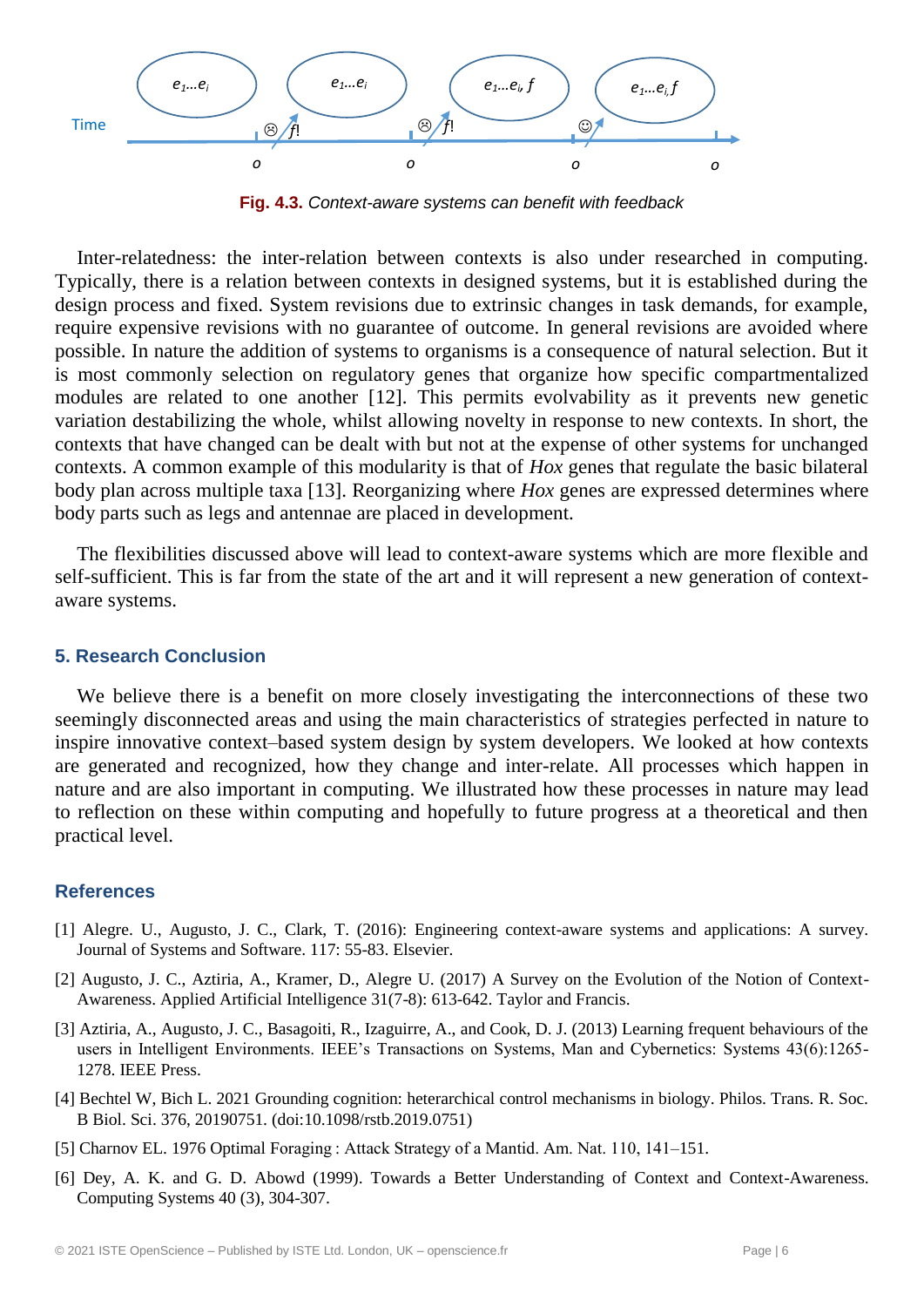

**Fig. 4.3.** *Context-aware systems can benefit with feedback*  '  $\ddot{\phantom{0}}$ 

Inter-relatedness: the inter-relation between contexts is also under researched in computing. Typically, there is a relation between contexts in designed systems, but it is established during the 0 design process and fixed. System revisions due to extrinsic changes in task demands, for example, require expensive revisions with no guarantee of outcome. In general revisions are avoided where possible. In nature the addition of systems to organisms is a consequence of natural selection. But it is most commonly selection on regulatory genes that organize how specific compartmentalized modules are related to one another [12]. This permits evolvability as it prevents new genetic variation destabilizing the whole, whilst allowing novelty in response to new contexts. In short, the contexts that have changed can be dealt with but not at the expense of other systems for unchanged contexts. A common example of this modularity is that of *Hox* genes that regulate the basic bilateral body plan across multiple taxa [13]. Reorganizing where *Hox* genes are expressed determines where body parts such as legs and antennae are placed in development. 0

The flexibilities discussed above will lead to context-aware systems which are more flexible and 0 self-sufficient. This is far from the state of the art and it will represent a new generation of contextaware systems.

#### **5. Research Conclusion**

We believe there is a benefit on more closely investigating the interconnections of these two seemingly disconnected areas and using the main characteristics of strategies perfected in nature to inspire innovative context-based system design by system developers. We looked at how contexts are generated and recognized, how they change and inter-relate. All processes which happen in nature and are also important in computing. We illustrated how these processes in nature may lead to reflection on these within computing and hopefully to future progress at a theoretical and then practical level.

#### **References**

- [1] Alegre. U., Augusto, J. C., Clark, T. (2016): Engineering context-aware systems and applications: A survey. Journal of Systems and Software. 117: 55-83. Elsevier.
- [2] Augusto, J. C., Aztiria, A., Kramer, D., Alegre U. (2017) A Survey on the Evolution of the Notion of Context-Awareness. Applied Artificial Intelligence 31(7-8): 613-642. Taylor and Francis.
- [3] Aztiria, A., Augusto, J. C., Basagoiti, R., Izaguirre, A., and Cook, D. J. (2013) Learning frequent behaviours of the users in Intelligent Environments. IEEE's Transactions on Systems, Man and Cybernetics: Systems 43(6):1265- 1278. IEEE Press.
- [4] Bechtel W, Bich L. 2021 Grounding cognition: heterarchical control mechanisms in biology. Philos. Trans. R. Soc. B Biol. Sci. 376, 20190751. (doi:10.1098/rstb.2019.0751)
- [5] Charnov EL. 1976 Optimal Foraging : Attack Strategy of a Mantid. Am. Nat. 110, 141–151.
- [6] Dey, A. K. and G. D. Abowd (1999). Towards a Better Understanding of Context and Context-Awareness. Computing Systems 40 (3), 304-307.